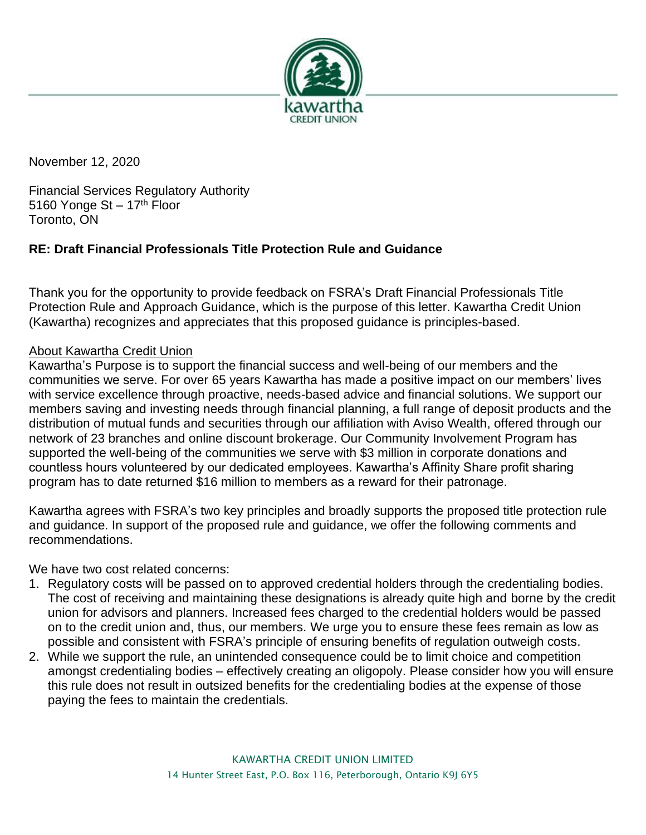

November 12, 2020

Financial Services Regulatory Authority 5160 Yonge St  $-17<sup>th</sup>$  Floor Toronto, ON

## **RE: Draft Financial Professionals Title Protection Rule and Guidance**

Thank you for the opportunity to provide feedback on FSRA's Draft Financial Professionals Title Protection Rule and Approach Guidance, which is the purpose of this letter. Kawartha Credit Union (Kawartha) recognizes and appreciates that this proposed guidance is principles-based.

## About Kawartha Credit Union

Kawartha's Purpose is to support the financial success and well-being of our members and the communities we serve. For over 65 years Kawartha has made a positive impact on our members' lives with service excellence through proactive, needs-based advice and financial solutions. We support our members saving and investing needs through financial planning, a full range of deposit products and the distribution of mutual funds and securities through our affiliation with Aviso Wealth, offered through our network of 23 branches and online discount brokerage. Our Community Involvement Program has supported the well-being of the communities we serve with \$3 million in corporate donations and countless hours volunteered by our dedicated employees. Kawartha's Affinity Share profit sharing program has to date returned \$16 million to members as a reward for their patronage.

Kawartha agrees with FSRA's two key principles and broadly supports the proposed title protection rule and guidance. In support of the proposed rule and guidance, we offer the following comments and recommendations.

We have two cost related concerns:

- 1. Regulatory costs will be passed on to approved credential holders through the credentialing bodies. The cost of receiving and maintaining these designations is already quite high and borne by the credit union for advisors and planners. Increased fees charged to the credential holders would be passed on to the credit union and, thus, our members. We urge you to ensure these fees remain as low as possible and consistent with FSRA's principle of ensuring benefits of regulation outweigh costs.
- 2. While we support the rule, an unintended consequence could be to limit choice and competition amongst credentialing bodies – effectively creating an oligopoly. Please consider how you will ensure this rule does not result in outsized benefits for the credentialing bodies at the expense of those paying the fees to maintain the credentials.